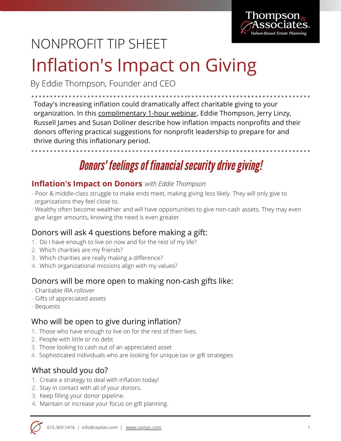

# NONPROFIT TIP SHEET

# Inflation's Impact on Giving

By Eddie Thompson, Founder and CEO

Today's increasing inflation could dramatically affect charitable giving to your organization. In this [complimentary](https://ceplan.com/inflationwebinar) 1-hour webinar, Eddie Thompson, Jerry Linzy, Russell James and Susan Doliner describe how inflation impacts nonprofits and their donors offering practical suggestions for nonprofit leadership to prepare for and thrive during this inflationary period.

## **Donors' feelings of financial security drive giving!**

### **Inflation's Impact on Donors** *with Eddie Thompson*

- Poor & middle-class struggle to make ends meet, making giving less likely. They will only give to organizations they feel close to.
- Wealthy often become wealthier and will have opportunities to give non-cash assets. They may even give larger amounts, knowing the need is even greater.

## Donors will ask 4 questions before making a gift:

- 1. Do I have enough to live on now and for the rest of my life?
- 2. Which charities are my friends?
- 3. Which charities are really making a difference?
- 4. Which organizational missions align with my values?

#### Donors will be more open to making non-cash gifts like:

- Charitable IRA rollover
- Gifts of appreciated assets
- Bequests

#### Who will be open to give during inflation?

- 1. Those who have enough to live on for the rest of their lives.
- 2. People with little or no debt
- 3. Those looking to cash out of an appreciated asset
- 4. Sophisticated individuals who are looking for unique tax or gift strategies

#### What should you do?

- 1. Create a strategy to deal with inflation today!
- 2. Stay in contact with all of your donors.
- 3. Keep filling your donor pipeline.
- 4. Maintain or increase your focus on gift planning.